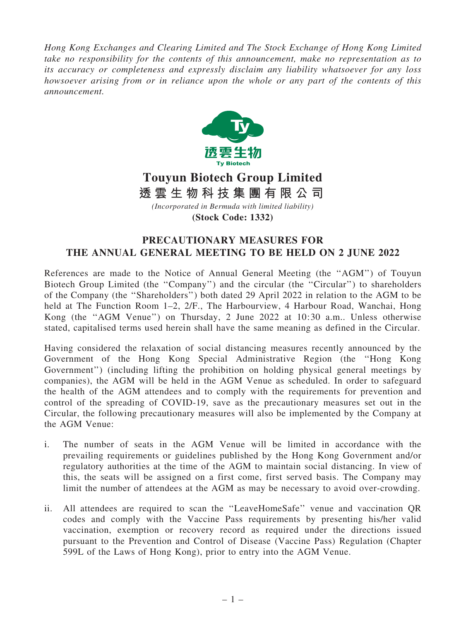*Hong Kong Exchanges and Clearing Limited and The Stock Exchange of Hong Kong Limited take no responsibility for the contents of this announcement, make no representation as to its accuracy or completeness and expressly disclaim any liability whatsoever for any loss howsoever arising from or in reliance upon the whole or any part of the contents of this announcement.*



## **Touyun Biotech Group Limited** *(Incorporated in Bermuda with limited liability)* **透 雲 生 物 科 技 集 團 有 限 公 司**

**(Stock Code: 1332)**

## PRECAUTIONARY MEASURES FOR THE ANNUAL GENERAL MEETING TO BE HELD ON 2 JUNE 2022

References are made to the Notice of Annual General Meeting (the ''AGM'') of Touyun Biotech Group Limited (the "Company") and the circular (the "Circular") to shareholders of the Company (the ''Shareholders'') both dated 29 April 2022 in relation to the AGM to be held at The Function Room 1–2, 2/F., The Harbourview, 4 Harbour Road, Wanchai, Hong Kong (the ''AGM Venue'') on Thursday, 2 June 2022 at 10:30 a.m.. Unless otherwise stated, capitalised terms used herein shall have the same meaning as defined in the Circular.

Having considered the relaxation of social distancing measures recently announced by the Government of the Hong Kong Special Administrative Region (the ''Hong Kong Government'') (including lifting the prohibition on holding physical general meetings by companies), the AGM will be held in the AGM Venue as scheduled. In order to safeguard the health of the AGM attendees and to comply with the requirements for prevention and control of the spreading of COVID-19, save as the precautionary measures set out in the Circular, the following precautionary measures will also be implemented by the Company at the AGM Venue:

- i. The number of seats in the AGM Venue will be limited in accordance with the prevailing requirements or guidelines published by the Hong Kong Government and/or regulatory authorities at the time of the AGM to maintain social distancing. In view of this, the seats will be assigned on a first come, first served basis. The Company may limit the number of attendees at the AGM as may be necessary to avoid over-crowding.
- ii. All attendees are required to scan the ''LeaveHomeSafe'' venue and vaccination QR codes and comply with the Vaccine Pass requirements by presenting his/her valid vaccination, exemption or recovery record as required under the directions issued pursuant to the Prevention and Control of Disease (Vaccine Pass) Regulation (Chapter 599L of the Laws of Hong Kong), prior to entry into the AGM Venue.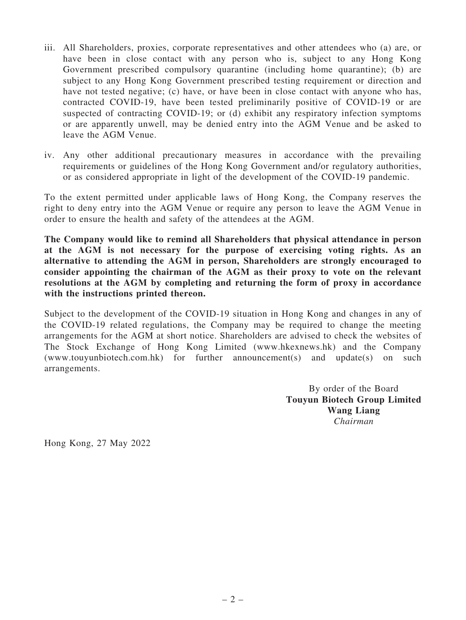- iii. All Shareholders, proxies, corporate representatives and other attendees who (a) are, or have been in close contact with any person who is, subject to any Hong Kong Government prescribed compulsory quarantine (including home quarantine); (b) are subject to any Hong Kong Government prescribed testing requirement or direction and have not tested negative; (c) have, or have been in close contact with anyone who has, contracted COVID-19, have been tested preliminarily positive of COVID-19 or are suspected of contracting COVID-19; or (d) exhibit any respiratory infection symptoms or are apparently unwell, may be denied entry into the AGM Venue and be asked to leave the AGM Venue.
- iv. Any other additional precautionary measures in accordance with the prevailing requirements or guidelines of the Hong Kong Government and/or regulatory authorities, or as considered appropriate in light of the development of the COVID-19 pandemic.

To the extent permitted under applicable laws of Hong Kong, the Company reserves the right to deny entry into the AGM Venue or require any person to leave the AGM Venue in order to ensure the health and safety of the attendees at the AGM.

The Company would like to remind all Shareholders that physical attendance in person at the AGM is not necessary for the purpose of exercising voting rights. As an alternative to attending the AGM in person, Shareholders are strongly encouraged to consider appointing the chairman of the AGM as their proxy to vote on the relevant resolutions at the AGM by completing and returning the form of proxy in accordance with the instructions printed thereon.

Subject to the development of the COVID-19 situation in Hong Kong and changes in any of the COVID-19 related regulations, the Company may be required to change the meeting arrangements for the AGM at short notice. Shareholders are advised to check the websites of The Stock Exchange of Hong Kong Limited (www.hkexnews.hk) and the Company (www.touyunbiotech.com.hk) for further announcement(s) and update(s) on such arrangements.

> By order of the Board Touyun Biotech Group Limited Wang Liang *Chairman*

Hong Kong, 27 May 2022